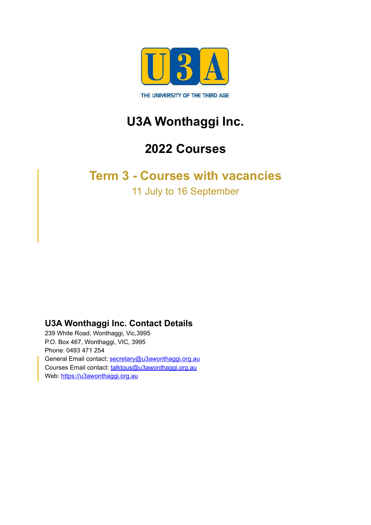

# **U3A Wonthaggi Inc.**

## **2022 Courses**

#### <span id="page-0-0"></span>**Term 3 - Courses with vacancies**

<span id="page-0-1"></span>11 July to 16 September

#### **U3A Wonthaggi Inc. Contact Details**

239 White Road, Wonthaggi, Vic,3995 P.O. Box 467, Wonthaggi, VIC, 3995 Phone: 0493 471 254 General Email contact: [secretary@u3awonthaggi.org.au](mailto:secretary@u3awonthaggi.org.au) Courses Email contact: [talktous@u3awonthaggi.org.au](mailto:talktous@u3awonthaggi.org.au) Web: <https://u3awonthaggi.org.au>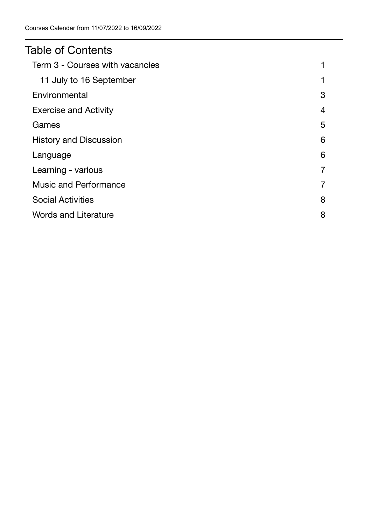#### Table of Contents

| Term 3 - Courses with vacancies |                |
|---------------------------------|----------------|
| 11 July to 16 September         | 1              |
| Environmental                   | 3              |
| <b>Exercise and Activity</b>    | $\overline{4}$ |
| Games                           | 5              |
| <b>History and Discussion</b>   | 6              |
| Language                        | 6              |
| Learning - various              | 7              |
| <b>Music and Performance</b>    | 7              |
| <b>Social Activities</b>        | 8              |
| <b>Words and Literature</b>     | 8              |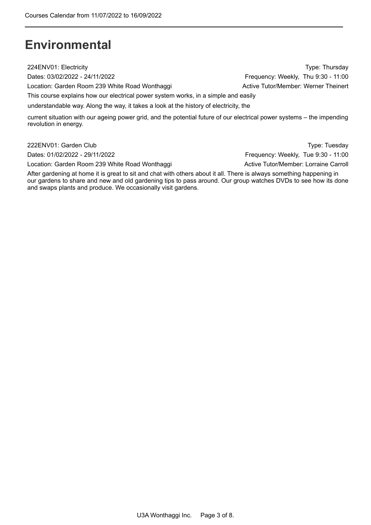### <span id="page-2-0"></span>**Environmental**

224ENV01: Electricity Type: Thursday

Dates: 03/02/2022 - 24/11/2022

Location: Garden Room 239 White Road Wonthaggi **Active Tutor/Member: Werner Theinert** 

This course explains how our electrical power system works, in a simple and easily

understandable way. Along the way, it takes a look at the history of electricity, the

 current situation with our ageing power grid, and the potential future of our electrical power systems – the impending revolution in energy.

Dates: 01/02/2022 - 29/11/2022

Location: Garden Room 239 White Road Wonthaggi **Active Tutor/Member: Lorraine Carroll** 

 222ENV01: Garden Club Type: Tuesday Frequency: Weekly, Tue 9:30 - 11:00

 After gardening at home it is great to sit and chat with others about it all. There is always something happening in our gardens to share and new and old gardening tips to pass around. Our group watches DVDs to see how its done and swaps plants and produce. We occasionally visit gardens.

Frequency: Weekly, Thu 9:30 - 11:00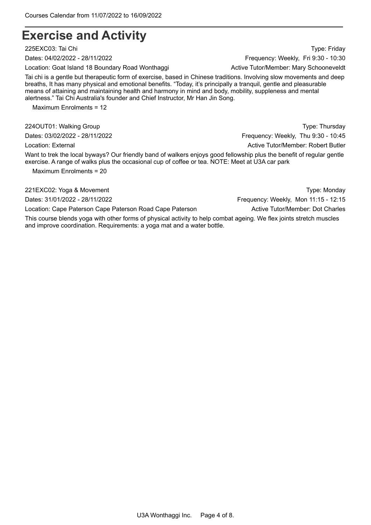#### <span id="page-3-0"></span> **Exercise and Activity**

225EXC03: Tai Chi Type: Friday

Location: Goat Island 18 Boundary Road Wonthaggi **Active Tutor/Member: Mary Schooneveldt** 

Tai chi is a gentle but therapeutic form of exercise, based in Chinese traditions. Involving slow movements and deep breaths, It has many physical and emotional benefits. "Today, it's principally a tranquil, gentle and pleasurable means of attaining and maintaining health and harmony in mind and body, mobility, suppleness and mental alertness." Tai Chi Australia's founder and Chief Instructor, Mr Han Jin Song.

Maximum Enrolments = 12

224OUT01: Walking Group Type: Thursday

Want to trek the local byways? Our friendly band of walkers enjoys good fellowship plus the benefit of regular gentle exercise. A range of walks plus the occasional cup of coffee or tea. NOTE: Meet at U3A car park

Maximum Enrolments = 20

Location: Cape Paterson Cape Paterson Road Cape Paterson Active Tutor/Member: Dot Charles

This course blends yoga with other forms of physical activity to help combat ageing. We flex joints stretch muscles and improve coordination. Requirements: a yoga mat and a water bottle.

Dates: 04/02/2022 - 28/11/2022 Frequency: Weekly, Fri 9:30 - 10:30

Dates: 03/02/2022 - 28/11/2022 **Frequency: Weekly, Thu 9:30 - 10:45** Location: External **Active Tutor/Member: Robert Butler** Active Tutor/Member: Robert Butler

221EXC02: Yoga & Movement Type: Monday

Dates: 31/01/2022 - 28/11/2022 Frequency: Weekly, Mon 11:15 - 12:15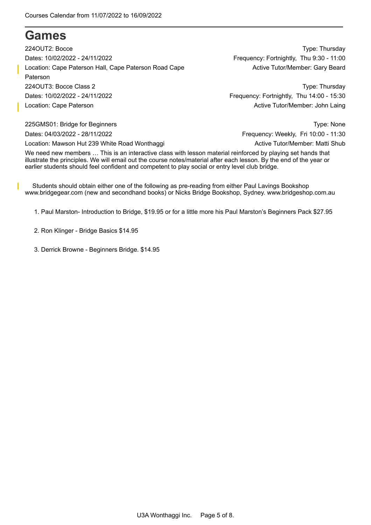#### <span id="page-4-0"></span>**Games**

Location: Cape Paterson Hall, Cape Paterson Road Cape **Active Tutor-Member: Gary Beard** 224OUT3: Bocce Class 2 Dates: 10/02/2022 - 24/11/2022 Location: Cape Paterson 224OUT2: Bocce Dates: 10/02/2022 - 24/11/2022 Paterson

Type: Thursday Frequency: Fortnightly, Thu 9:30 - 11:00

 Type: Thursday Frequency: Fortnightly, Thu 14:00 - 15:30 Active Tutor/Member: John Laing

225GMS01: Bridge for Beginners Type: None Dates: 04/03/2022 - 28/11/2022 **Frequency: Weekly, Fri 10:00 - 11:30** Location: Mawson Hut 239 White Road Wonthaggi **Active Tutor/Member: Matti Shub** Active Tutor/Member: Matti Shub

We need new members … This is an interactive class with lesson material reinforced by playing set hands that illustrate the principles. We will email out the course notes/material after each lesson. By the end of the year or earlier students should feel confident and competent to play social or entry level club bridge.

I Students should obtain either one of the following as pre-reading from either Paul Lavings Bookshop www.bridgegear.com (new and secondhand books) or Nicks Bridge Bookshop, Sydney. www.bridgeshop.com.au

1. Paul Marston- Introduction to Bridge, \$19.95 or for a little more his Paul Marston's Beginners Pack \$27.95

2. Ron Klinger - Bridge Basics \$14.95

3. Derrick Browne - Beginners Bridge. \$14.95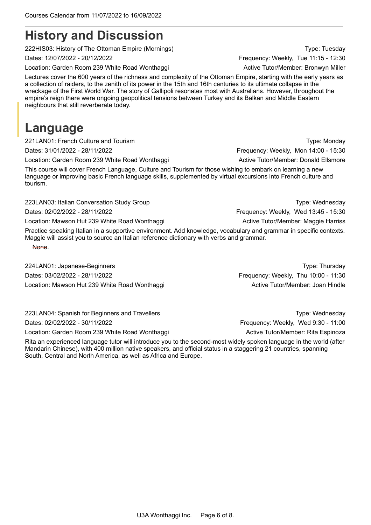### <span id="page-5-0"></span>**History and Discussion**

222HIS03: History of The Ottoman Empire (Mornings) The Communication of the Communication of Type: Tuesday

Location: Garden Room 239 White Road Wonthaggi **Active Tutor/Member: Bronwyn Miller** 

Lectures cover the 600 years of the richness and complexity of the Ottoman Empire, starting with the early years as a collection of raiders, to the zenith of its power in the 15th and 16th centuries to its ultimate collapse in the wreckage of the First World War. The story of Gallipoli resonates most with Australians. However, throughout the empire's reign there were ongoing geopolitical tensions between Turkey and its Balkan and Middle Eastern neighbours that still reverberate today.

### <span id="page-5-1"></span>**Language**

221LAN01: French Culture and Tourism Type: Monday Type: Monday

Dates: 31/01/2022 - 28/11/2022 Frequency: Weekly, Mon 14:00 - 15:30

Location: Garden Room 239 White Road Wonthaggi **Active Tutor/Member: Donald Ellsmore** 

This course will cover French Language, Culture and Tourism for those wishing to embark on learning a new language or improving basic French language skills, supplemented by virtual excursions into French culture and tourism.

223LAN03: Italian Conversation Study Group Type: Wednesday Type: Wednesday

Dates: 02/02/2022 - 28/11/2022 Frequency: Weekly, Wed 13:45 - 15:30

Location: Mawson Hut 239 White Road Wonthaggi **Active Tutor/Member: Maggie Harriss** Active Tutor/Member: Maggie Harriss

Practice speaking Italian in a supportive environment. Add knowledge, vocabulary and grammar in specific contexts. Maggie will assist you to source an Italian reference dictionary with verbs and grammar. None.

224LAN01: Japanese-Beginners Type: Thursday Dates: 03/02/2022 - 28/11/2022 Frequency: Weekly, Thu 10:00 - 11:30 Location: Mawson Hut 239 White Road Wonthaggi New York Controller Mexicon Active Tutor/Member: Joan Hindle

223LAN04: Spanish for Beginners and Travellers Type: Wednesday Type: Wednesday Dates: 02/02/2022 - 30/11/2022 Frequency: Weekly, Wed 9:30 - 11:00

Location: Garden Room 239 White Road Wonthaggi **Active Tutor/Member: Rita Espinoza** 

Rita an experienced language tutor will introduce you to the second-most widely spoken language in the world (after Mandarin Chinese), with 400 million native speakers, and official status in a staggering 21 countries, spanning South, Central and North America, as well as Africa and Europe.

Dates: 12/07/2022 - 20/12/2022 Frequency: Weekly, Tue 11:15 - 12:30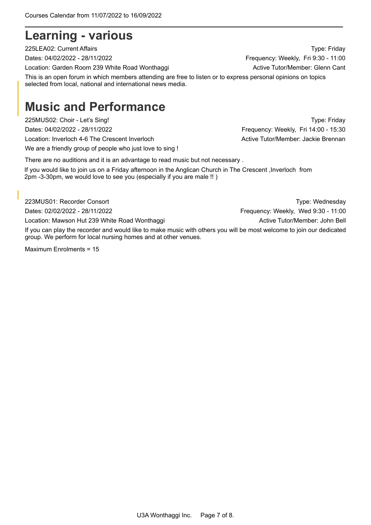#### <span id="page-6-0"></span>**Learning - various**

Location: Garden Room 239 White Road Wonthaggi **Active Tutor/Member: Glenn Cant** 

This is an open forum in which members attending are free to listen or to express personal opinions on topics selected from local, national and international news media.

### <span id="page-6-1"></span>**Music and Performance**

225MUS02: Choir - Let's Sing! Type: Friday Dates: 04/02/2022 - 28/11/2022 **Frequency: Weekly, Fri 14:00 - 15:30** Location: Inverloch 4-6 The Crescent Inverloch Active Tutor/Member: Jackie Brennan We are a friendly group of people who just love to sing !

There are no auditions and it is an advantage to read music but not necessary .

 If you would like to join us on a Friday afternoon in the Anglican Church in The Crescent ,Inverloch from 2pm -3-30pm, we would love to see you (especially if you are male !! )

223MUS01: Recorder Consort **Type:** Wednesday If you can play the recorder and would like to make music with others you will be most welcome to join our dedicated group. We perform for local nursing homes and at other venues. Dates: 02/02/2022 - 28/11/2022 Frequency: Weekly, Wed 9:30 - 11:00 Location: Mawson Hut 239 White Road Wonthaggi **Active Tutor/Member: John Bell** Cocation: Mawson Hut 239 White Road Wonthaggi

Maximum Enrolments = 15

225LEA02: Current Affairs Type: Friday Dates: 04/02/2022 - 28/11/2022 **Frequency: Weekly, Fri 9:30 - 11:00**